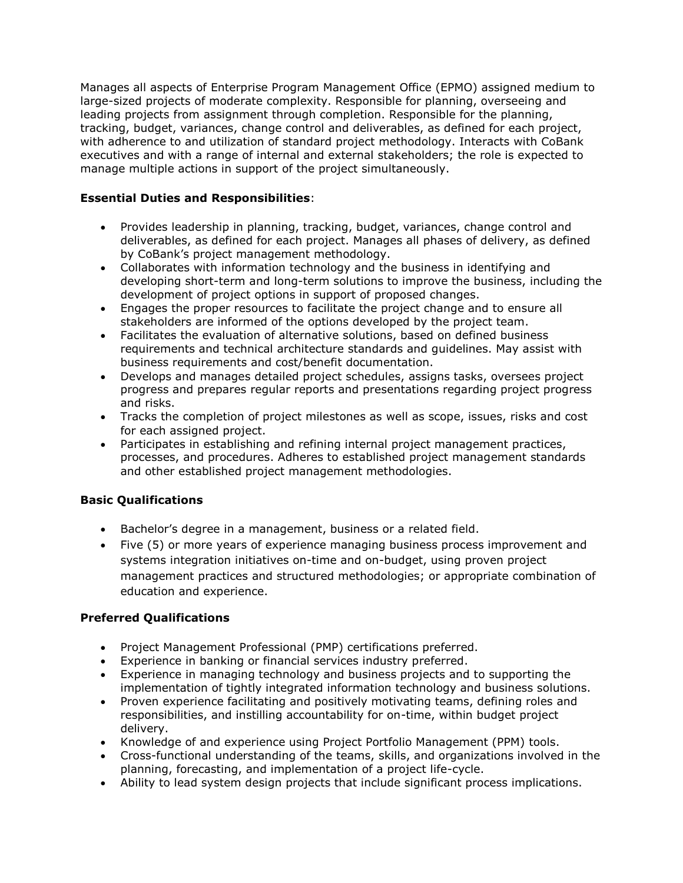Manages all aspects of Enterprise Program Management Office (EPMO) assigned medium to large-sized projects of moderate complexity. Responsible for planning, overseeing and leading projects from assignment through completion. Responsible for the planning, tracking, budget, variances, change control and deliverables, as defined for each project, with adherence to and utilization of standard project methodology. Interacts with CoBank executives and with a range of internal and external stakeholders; the role is expected to manage multiple actions in support of the project simultaneously.

## **Essential Duties and Responsibilities**:

- Provides leadership in planning, tracking, budget, variances, change control and deliverables, as defined for each project. Manages all phases of delivery, as defined by CoBank's project management methodology.
- Collaborates with information technology and the business in identifying and developing short-term and long-term solutions to improve the business, including the development of project options in support of proposed changes.
- Engages the proper resources to facilitate the project change and to ensure all stakeholders are informed of the options developed by the project team.
- Facilitates the evaluation of alternative solutions, based on defined business requirements and technical architecture standards and guidelines. May assist with business requirements and cost/benefit documentation.
- Develops and manages detailed project schedules, assigns tasks, oversees project progress and prepares regular reports and presentations regarding project progress and risks.
- Tracks the completion of project milestones as well as scope, issues, risks and cost for each assigned project.
- Participates in establishing and refining internal project management practices, processes, and procedures. Adheres to established project management standards and other established project management methodologies.

## **Basic Qualifications**

- Bachelor's degree in a management, business or a related field.
- Five (5) or more years of experience managing business process improvement and systems integration initiatives on-time and on-budget, using proven project management practices and structured methodologies; or appropriate combination of education and experience.

## **Preferred Qualifications**

- Project Management Professional (PMP) certifications preferred.
- Experience in banking or financial services industry preferred.
- Experience in managing technology and business projects and to supporting the implementation of tightly integrated information technology and business solutions.
- Proven experience facilitating and positively motivating teams, defining roles and responsibilities, and instilling accountability for on-time, within budget project delivery.
- Knowledge of and experience using Project Portfolio Management (PPM) tools.
- Cross-functional understanding of the teams, skills, and organizations involved in the planning, forecasting, and implementation of a project life-cycle.
- Ability to lead system design projects that include significant process implications.